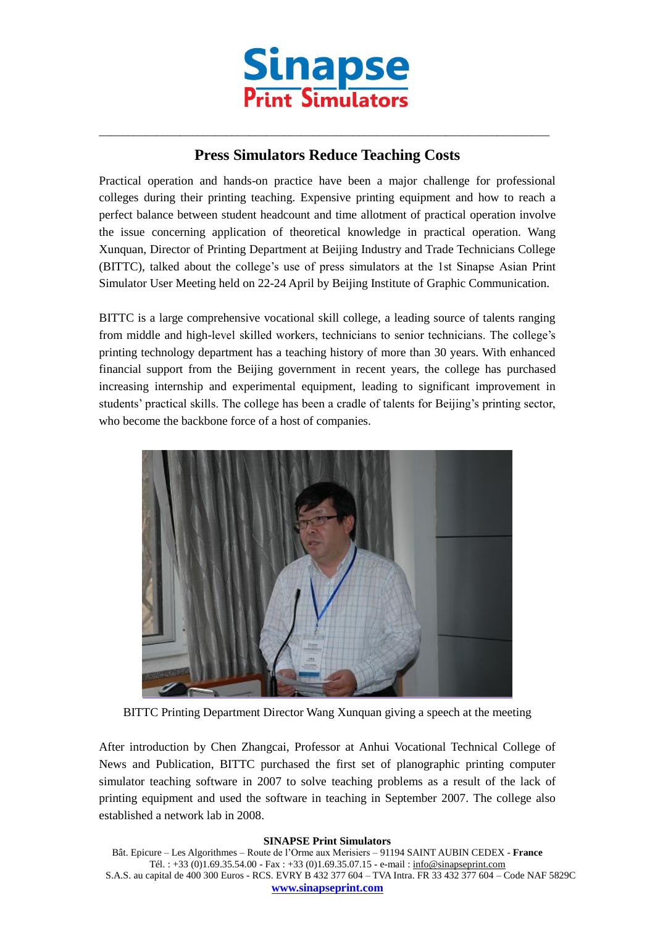

## **Press Simulators Reduce Teaching Costs**

 $\_$  , and the set of the set of the set of the set of the set of the set of the set of the set of the set of the set of the set of the set of the set of the set of the set of the set of the set of the set of the set of th

Practical operation and hands-on practice have been a major challenge for professional colleges during their printing teaching. Expensive printing equipment and how to reach a perfect balance between student headcount and time allotment of practical operation involve the issue concerning application of theoretical knowledge in practical operation. Wang Xunquan, Director of Printing Department at Beijing Industry and Trade Technicians College (BITTC), talked about the college's use of press simulators at the 1st Sinapse Asian Print Simulator User Meeting held on 22-24 April by Beijing Institute of Graphic Communication.

BITTC is a large comprehensive vocational skill college, a leading source of talents ranging from middle and high-level skilled workers, technicians to senior technicians. The college's printing technology department has a teaching history of more than 30 years. With enhanced financial support from the Beijing government in recent years, the college has purchased increasing internship and experimental equipment, leading to significant improvement in students' practical skills. The college has been a cradle of talents for Beijing's printing sector, who become the backbone force of a host of companies.



BITTC Printing Department Director Wang Xunquan giving a speech at the meeting

After introduction by Chen Zhangcai, Professor at Anhui Vocational Technical College of News and Publication, BITTC purchased the first set of planographic printing computer simulator teaching software in 2007 to solve teaching problems as a result of the lack of printing equipment and used the software in teaching in September 2007. The college also established a network lab in 2008.

## **SINAPSE Print Simulators**

Bât. Epicure – Les Algorithmes – Route de l'Orme aux Merisiers – 91194 SAINT AUBIN CEDEX - **France** Tél. : +33 (0)1.69.35.54.00 - Fax : +33 (0)1.69.35.07.15 - e-mail : info@sinapseprint.com S.A.S. au capital de 400 300 Euros - RCS. EVRY B 432 377 604 – TVA Intra. FR 33 432 377 604 – Code NAF 5829C **[www.sinapseprint.com](http://www.sinapseprint.com/)**